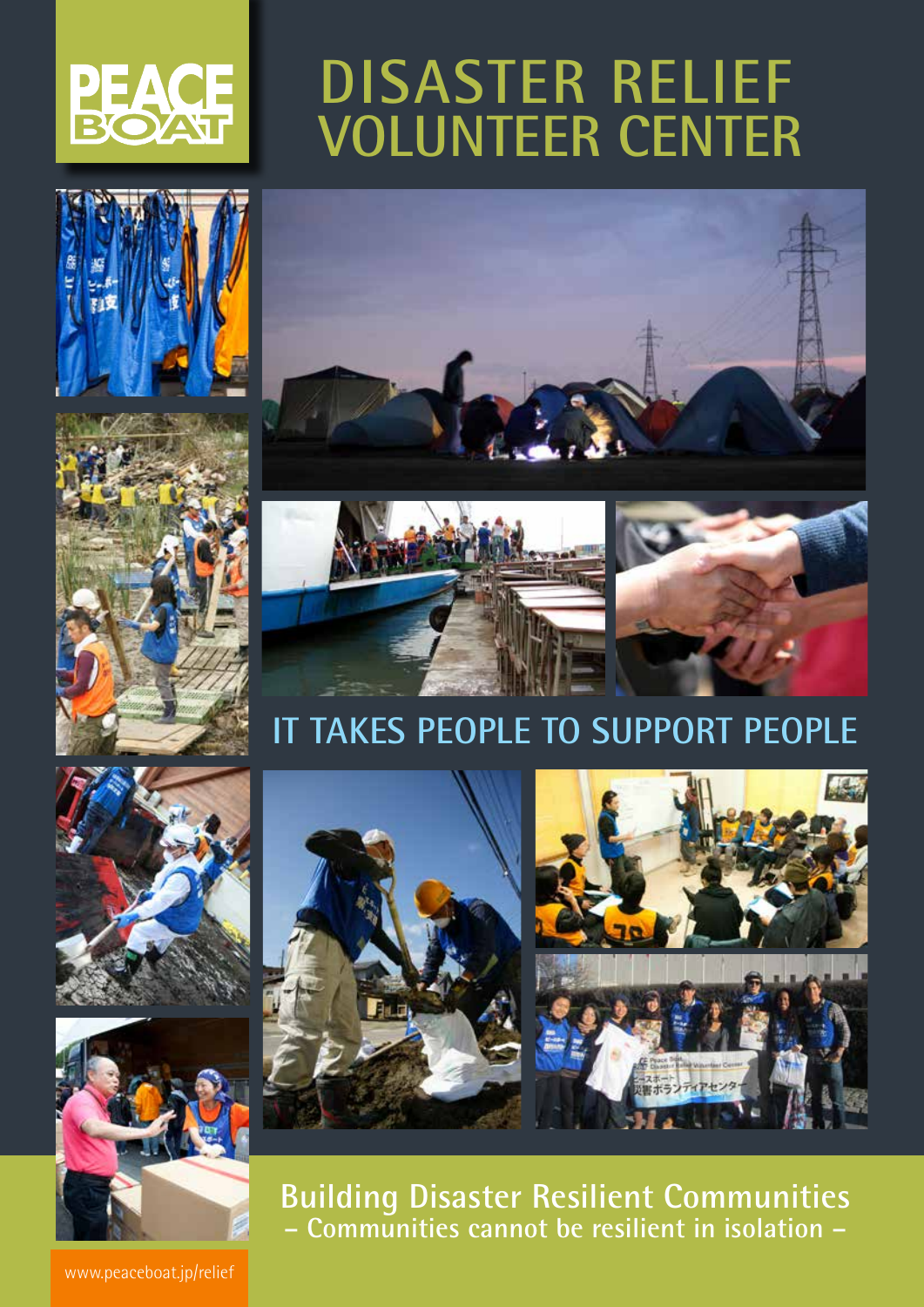

# **DISASTER RELIEF VOLUNTEER CENTER**







# **IT TAKES PEOPLE TO SUPPORT PEOPLE**





**Building Disaster Resilient Communities – Communities cannot be resilient in isolation –**

www.peaceboat.jp/relief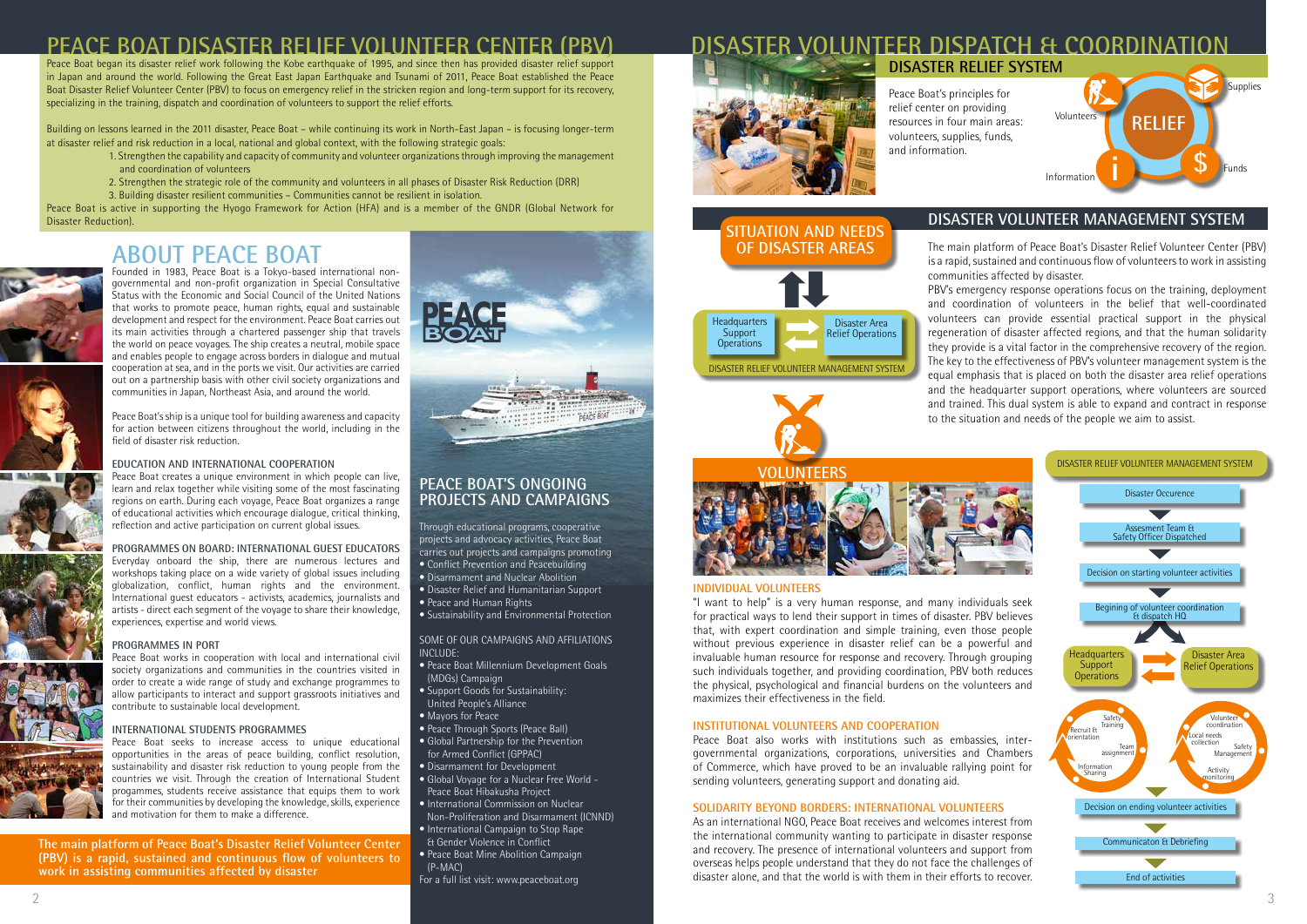### **ABOUT PEACE BOAT**



Founded in 1983, Peace Boat is a Tokyo-based international nongovernmental and non-profit organization in Special Consultative Status with the Economic and Social Council of the United Nations that works to promote peace, human rights, equal and sustainable development and respect for the environment. Peace Boat carries out its main activities through a chartered passenger ship that travels the world on peace voyages. The ship creates a neutral, mobile space and enables people to engage across borders in dialogue and mutual cooperation at sea, and in the ports we visit. Our activities are carried out on a partnership basis with other civil society organizations and communities in Japan, Northeast Asia, and around the world.

Peace Boat's ship is a unique tool for building awareness and capacity for action between citizens throughout the world, including in the field of disaster risk reduction.

### **EDUCATION AND INTERNATIONAL COOPERATION**

Peace Boat creates a unique environment in which people can live, learn and relax together while visiting some of the most fascinating regions on earth. During each voyage, Peace Boat organizes a range of educational activities which encourage dialogue, critical thinking, reflection and active participation on current global issues.

**PROGRAMMES ON BOARD: INTERNATIONAL GUEST EDUCATORS** Everyday onboard the ship, there are numerous lectures and workshops taking place on a wide variety of global issues including globalization, conflict, human rights and the environment. International guest educators - activists, academics, journalists and artists - direct each segment of the voyage to share their knowledge, experiences, expertise and world views.

#### **PROGRAMMES IN PORT**

Peace Boat works in cooperation with local and international civil society organizations and communities in the countries visited in order to create a wide range of study and exchange programmes to allow participants to interact and support grassroots initiatives and contribute to sustainable local development.

### **INTERNATIONAL STUDENTS PROGRAMMES**

Peace Boat seeks to increase access to unique educational opportunities in the areas of peace building, conflict resolution, sustainability and disaster risk reduction to young people from the countries we visit. Through the creation of International Student progammes, students receive assistance that equips them to work for their communities by developing the knowledge, skills, experience and motivation for them to make a difference.

The main platform of Peace Boat's Disaster Relief Volunteer Center (PBV) is a rapid, sustained and continuous flow of volunteers to work in assisting affected by disaster.

ency response operations focus on the training, deployment ation of volunteers in the belief that well-coordinated can provide essential practical support in the physical of disaster affected regions, and that the human solidarity is a vital factor in the comprehensive recovery of the region. e effectiveness of PBV's volunteer management system is the asis that is placed on both the disaster area relief operations dquarter support operations, where volunteers are sourced This dual system is able to expand and contract in response ion and needs of the people we aim to assist.

### **PEACE BOAT'S ONGOING PROJECTS AND CAMPAIGNS**

Through educational programs, cooperative projects and advocacy activities, Peace Boat carries out projects and campaigns promoting

- Conflict Prevention and Peacebuilding
- Disarmament and Nuclear Abolition
- Disaster Relief and Humanitarian Support
- Peace and Human Rights
- Sustainability and Environmental Protection

SOME OF OUR CAMPAIGNS AND AFFILIATIONS INCLUDE:

- Peace Boat Millennium Development Goals (MDGs) Campaign
- Support Goods for Sustainability: United People's Alliance
- Mayors for Peace
- Peace Through Sports (Peace Ball)
- Global Partnership for the Prevention
- for Armed Conflict (GPPAC)
- Disarmament for Development
- Global Voyage for a Nuclear Free World Peace Boat Hibakusha Project
- International Commission on Nuclear Non-Proliferation and Disarmament (ICNND)
- International Campaign to Stop Rape & Gender Violence in Conflict
- Peace Boat Mine Abolition Campaign (P-MAC)
- For a full list visit: www.peaceboat.org

## **VOLUNTEER DISPATCH & COORDINA**



### **PEACE BOAT DISASTER RELIEF VOLUNTEER CENT**

Peace Boat began its disaster relief work following the Kobe earthquake of 1995, and since then has provided disaster relief support in Japan and around the world. Following the Great East Japan Earthquake and Tsunami of 2011, Peace Boat established the Peace Boat Disaster Relief Volunteer Center (PBV) to focus on emergency relief in the stricken region and long-term support for its recovery, specializing in the training, dispatch and coordination of volunteers to support the relief efforts.

Peace Boat's principles for relief center on providing resources in four main areas: volunteers, supplies, funds, and information.

### **DISASTER VOLUNTEER MANAGEMENT SYSTEM**



### **SITUATION AND NEEDS OF DISASTER AREAS**



| :ommunities   |  |
|---------------|--|
| BV's emerge   |  |
| nd coordin    |  |
| olunteers c   |  |
| egeneration   |  |
| hey provide   |  |
| he key to the |  |
| qual empha:   |  |
| nd the head   |  |
| nd trained.   |  |
| o the situati |  |
|               |  |

### **VOLUNTEERS**



**The main platform of Peace Boat's Disaster Relief Volunteer Center (PBV) is a rapid, sustained and continuous flow of volunteers to work in assisting communities affected by disaster**



Building on lessons learned in the 2011 disaster, Peace Boat – while continuing its work in North-East Japan – is focusing longer-term at disaster relief and risk reduction in a local, national and global context, with the following strategic goals:

- 1. Strengthen the capability and capacity of community and volunteer organizations through improving the management and coordination of volunteers
- 2. Strengthen the strategic role of the community and volunteers in all phases of Disaster Risk Reduction (DRR)
- 3. Building disaster resilient communities Communities cannot be resilient in isolation.

Peace Boat is active in supporting the Hyogo Framework for Action (HFA) and is a member of the GNDR (Global Network for Disaster Reduction).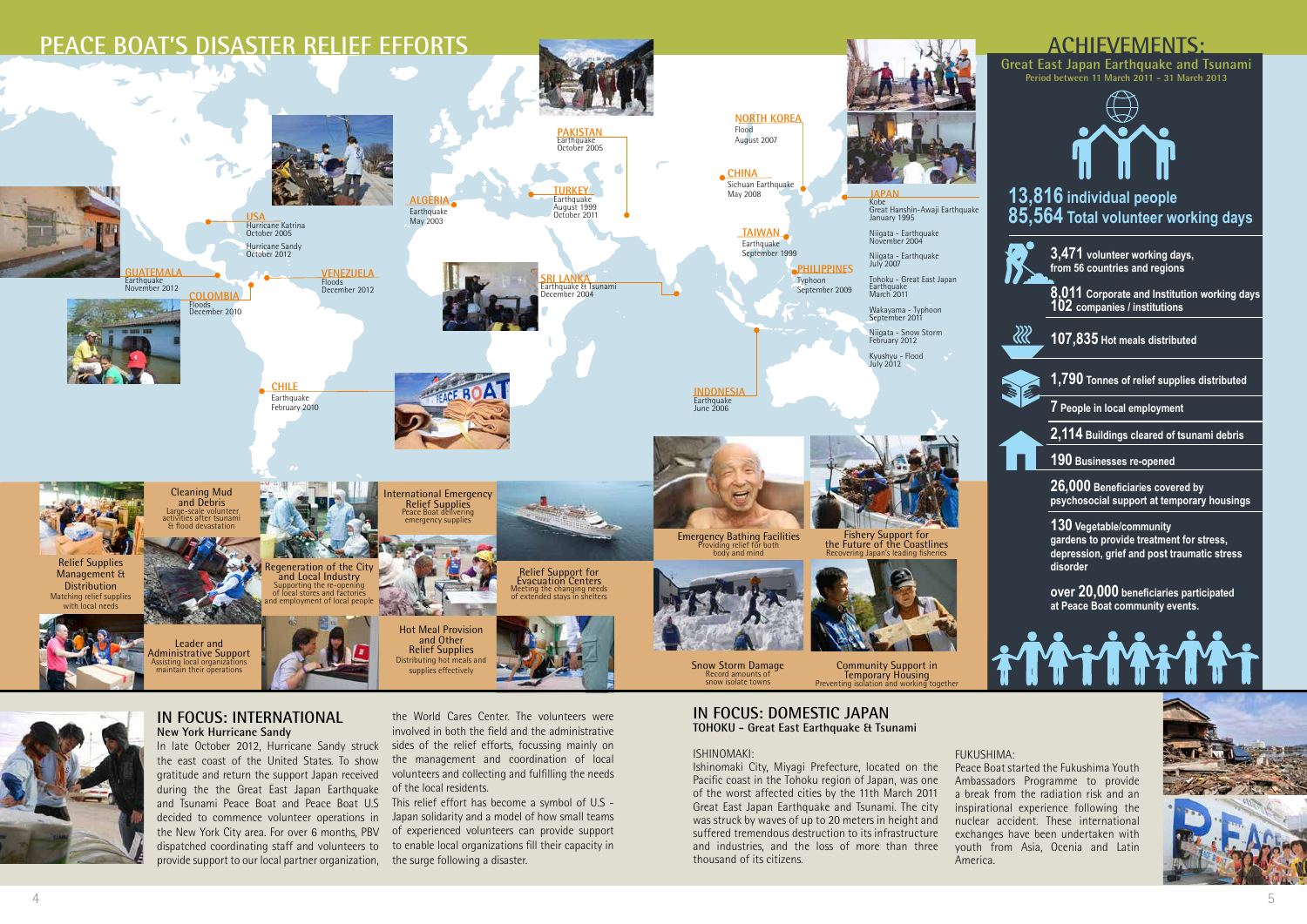**Great East Japan Earthquake and Tsunami Period between 11 March 2011 - 31 March 2013**

### **IN FOCUS: DOMESTIC JAPAN TOHOKU - Great East Earthquake & Tsunami**

### ISHINOMAKI:

Ishinomaki City, Miyagi Prefecture, located on the Pacific coast in the Tohoku region of Japan, was one of the worst affected cities by the 11th March 2011 Great East Japan Earthquake and Tsunami. The city was struck by waves of up to 20 meters in height and suffered tremendous destruction to its infrastructure and industries, and the loss of more than three thousand of its citizens.

### **IN FOCUS: INTERNATIONAL New York Hurricane Sandy**

the east coast of the United States. To show gratitude and return the support Japan received during the the Great East Japan Earthquake and Tsunami Peace Boat and Peace Boat U.S decided to commence volunteer operations in the New York City area. For over 6 months, PBV dispatched coordinating staff and volunteers to provide support to our local partner organization,







In late October 2012, Hurricane Sandy struck sides of the relief efforts, focussing mainly on the World Cares Center. The volunteers were involved in both the field and the administrative the management and coordination of local volunteers and collecting and fulfilling the needs of the local residents.

> This relief effort has become a symbol of U.S - Japan solidarity and a model of how small teams of experienced volunteers can provide support to enable local organizations fill their capacity in the surge following a disaster.

FUKUSHIMA: America.

Peace Boat started the Fukushima Youth Ambassadors Programme to provide a break from the radiation risk and an inspirational experience following the nuclear accident. These international exchanges have been undertaken with youth from Asia, Ocenia and Latin

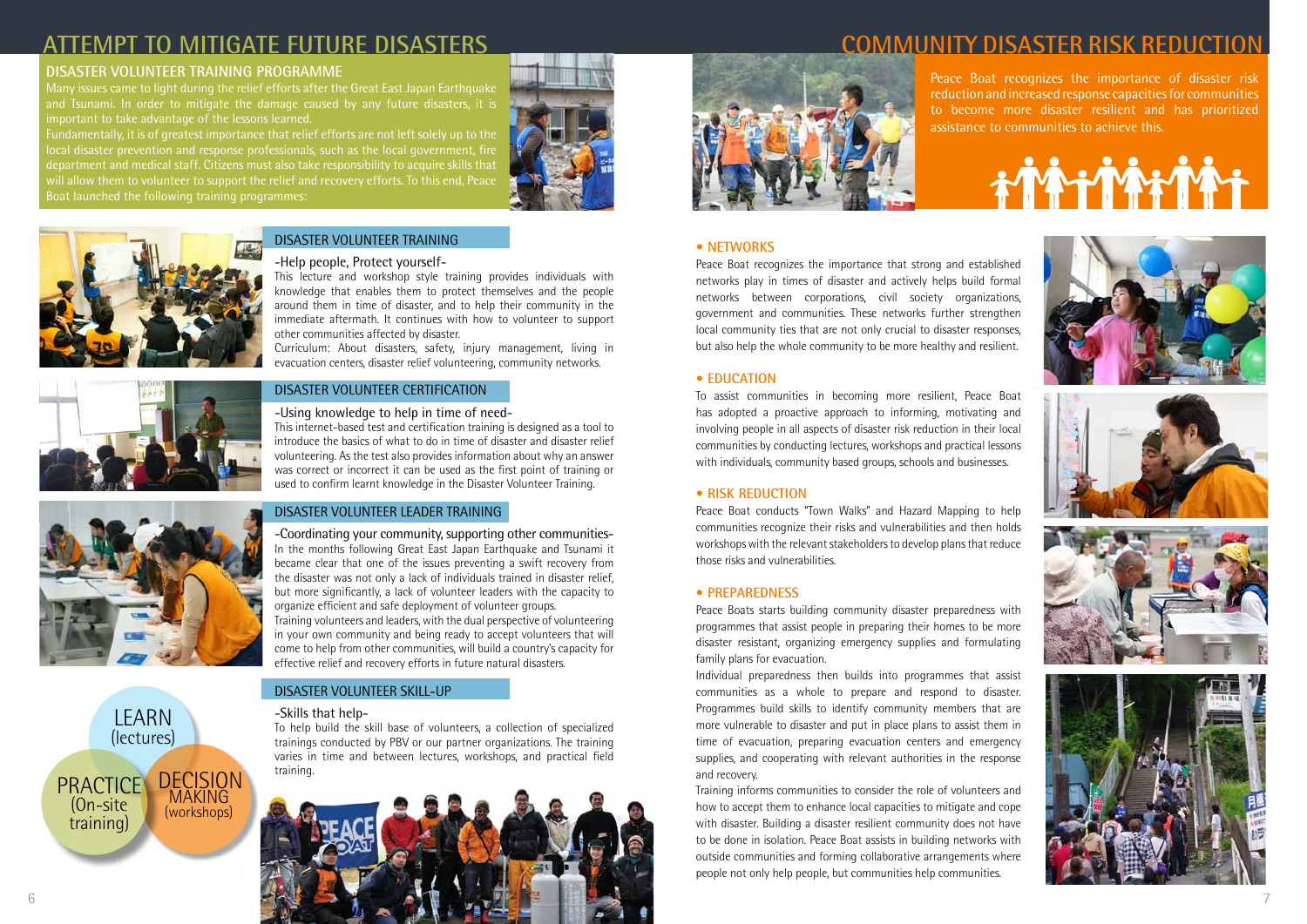### **DISASTER VOLUNTEER TRAINING PROGRAMME**

Many issues came to light during the relief efforts after the Great East Japan Earthquake and Tsunami. In order to mitigate the damage caused by any future disasters, it is important to take advantage of the lessons learned.

Fundamentally, it is of greatest importance that relief efforts are not left solely up to the local disaster prevention and response professionals, such as the local government, fire department and medical staff. Citizens must also take responsibility to acquire skills that will allow them to volunteer to support the relief and recovery efforts. To this end, Peace Boat launched the following training programmes:





Peace Boat recognizes the importance of disaster risk reduction and increased response capacities for communities to become more disaster resilient and has prioritized assistance to communities to achieve this.

# $\mathbf{r}$









## **ATTEMPT TO MITIGATE FUTURE DISASTERS COMMUNITY DISASTER RISK REDUCTION**



### DISASTER VOLUNTEER TRAINING

### -Help people, Protect yourself-

This lecture and workshop style training provides individuals with knowledge that enables them to protect themselves and the people around them in time of disaster, and to help their community in the immediate aftermath. It continues with how to volunteer to support other communities affected by disaster.

Curriculum: About disasters, safety, injury management, living in evacuation centers, disaster relief volunteering, community networks.



### -Using knowledge to help in time of need-

This internet-based test and certification training is designed as a tool to introduce the basics of what to do in time of disaster and disaster relief volunteering. As the test also provides information about why an answer was correct or incorrect it can be used as the first point of training or used to confirm learnt knowledge in the Disaster Volunteer Training.

### DISASTER VOLUNTEER LEADER TRAINING

-Coordinating your community, supporting other communities-In the months following Great East Japan Earthquake and Tsunami it became clear that one of the issues preventing a swift recovery from the disaster was not only a lack of individuals trained in disaster relief, but more significantly, a lack of volunteer leaders with the capacity to organize efficient and safe deployment of volunteer groups. Training volunteers and leaders, with the dual perspective of volunteering in your own community and being ready to accept volunteers that will come to help from other communities, will build a country's capacity for effective relief and recovery efforts in future natural disasters.

### DISASTER VOLUNTEER SKILL-UP

### -Skills that help-

To help build the skill base of volunteers, a collection of specialized trainings conducted by PBV or our partner organizations. The training varies in time and between lectures, workshops, and practical field training.

### **• NETWORKS**

Peace Boat recognizes the importance that strong and established networks play in times of disaster and actively helps build formal networks between corporations, civil society organizations, government and communities. These networks further strengthen local community ties that are not only crucial to disaster responses, but also help the whole community to be more healthy and resilient.

### **• EDUCATION**

To assist communities in becoming more resilient, Peace Boat has adopted a proactive approach to informing, motivating and involving people in all aspects of disaster risk reduction in their local communities by conducting lectures, workshops and practical lessons with individuals, community based groups, schools and businesses.

### **• RISK REDUCTION**

Peace Boat conducts "Town Walks" and Hazard Mapping to help communities recognize their risks and vulnerabilities and then holds workshops with the relevant stakeholders to develop plans that reduce those risks and vulnerabilities.

### **• PREPAREDNESS**

Peace Boats starts building community disaster preparedness with programmes that assist people in preparing their homes to be more disaster resistant, organizing emergency supplies and formulating family plans for evacuation.

Individual preparedness then builds into programmes that assist communities as a whole to prepare and respond to disaster. Programmes build skills to identify community members that are more vulnerable to disaster and put in place plans to assist them in time of evacuation, preparing evacuation centers and emergency supplies, and cooperating with relevant authorities in the response and recovery.

Training informs communities to consider the role of volunteers and how to accept them to enhance local capacities to mitigate and cope with disaster. Building a disaster resilient community does not have to be done in isolation. Peace Boat assists in building networks with outside communities and forming collaborative arrangements where people not only help people, but communities help communities.